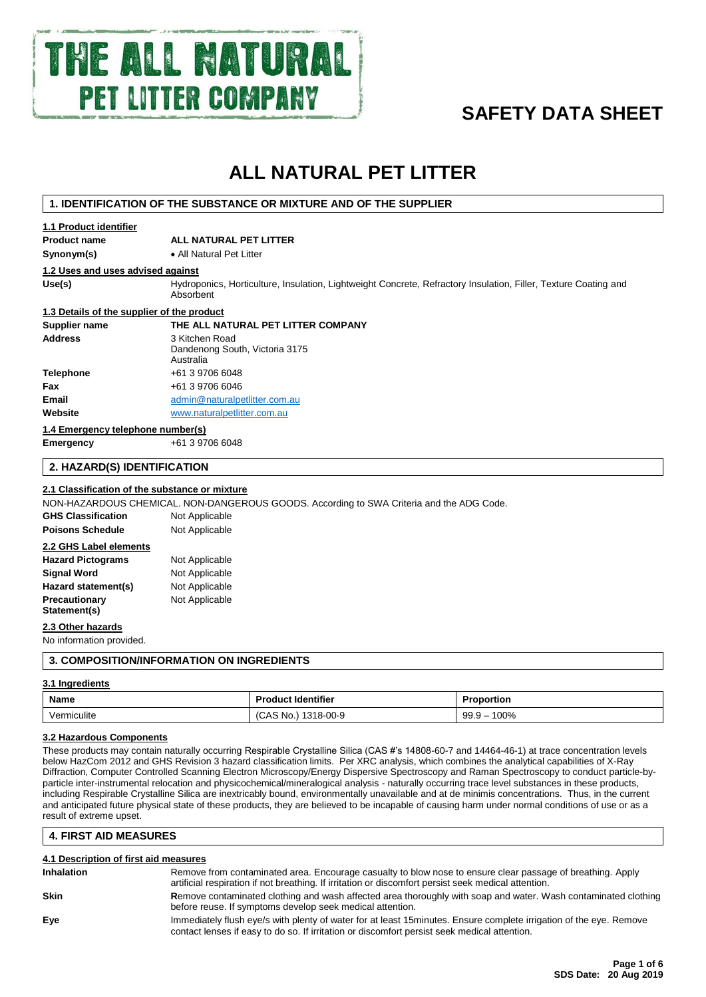

# **SAFETY DATA SHEET**

# **ALL NATURAL PET LITTER**

# **1. IDENTIFICATION OF THE SUBSTANCE OR MIXTURE AND OF THE SUPPLIER**

# **1.1 Product identifier**

**Product name ALL NATURAL PET LITTER**

**Synonym(s)** • All Natural Pet Litter

# **1.2 Uses and uses advised against**

Use(s) **Hydroponics, Horticulture, Insulation, Lightweight Concrete, Refractory Insulation, Filler, Texture Coating and** Absorbent

# **1.3 Details of the supplier of the product**

# **Supplier name THE ALL NATURAL PET LITTER COMPANY**

| Address                           | 3 Kitchen Road<br>Dandenong South, Victoria 3175<br>Australia |  |
|-----------------------------------|---------------------------------------------------------------|--|
| Telephone                         | +61 3 9706 6048                                               |  |
| Fax                               | +61 3 9706 6046                                               |  |
| Email                             | admin@naturalpetlitter.com.au                                 |  |
| Website                           | www.naturalpetlitter.com.au                                   |  |
| 1.4 Emergency telephone number(s) |                                                               |  |

**Emergency** +61 3 9706 6048

# **2. HAZARD(S) IDENTIFICATION**

# **2.1 Classification of the substance or mixture**

NON-HAZARDOUS CHEMICAL. NON-DANGEROUS GOODS. According to SWA Criteria and the ADG Code.

| <b>GHS Classification</b> | Not Applicable |
|---------------------------|----------------|
| <b>Poisons Schedule</b>   | Not Applicable |
| 2.2 GHS Label elements    |                |
| <b>Hazard Pictograms</b>  | Not Applicable |
| <b>Signal Word</b>        | Not Applicable |
| Hazard statement(s)       | Not Applicable |
| Precautionary             | Not Applicable |

## **2.3 Other hazards**

**Statement(s)**

No information provided.

# **3. COMPOSITION/INFORMATION ON INGREDIENTS**

# **3.1 Ingredients**

| Name        | <b>Product Identifier</b> | Proportion           |
|-------------|---------------------------|----------------------|
| Vermiculite | 1318-00-9<br>No.<br>CAS   | 100%<br>99.9<br>ีฯ — |

## **3.2 Hazardous Components**

These products may contain naturally occurring Respirable Crystalline Silica (CAS #'s 14808-60-7 and 14464-46-1) at trace concentration levels below HazCom 2012 and GHS Revision 3 hazard classification limits. Per XRC analysis, which combines the analytical capabilities of X-Ray Diffraction, Computer Controlled Scanning Electron Microscopy/Energy Dispersive Spectroscopy and Raman Spectroscopy to conduct particle-byparticle inter-instrumental relocation and physicochemical/mineralogical analysis - naturally occurring trace level substances in these products, including Respirable Crystalline Silica are inextricably bound, environmentally unavailable and at de minimis concentrations. Thus, in the current and anticipated future physical state of these products, they are believed to be incapable of causing harm under normal conditions of use or as a result of extreme upset.

# **4. FIRST AID MEASURES**

| 4.1 Description of first aid measures |                                                                                                                                                                                                                    |  |  |
|---------------------------------------|--------------------------------------------------------------------------------------------------------------------------------------------------------------------------------------------------------------------|--|--|
| <b>Inhalation</b>                     | Remove from contaminated area. Encourage casualty to blow nose to ensure clear passage of breathing. Apply<br>artificial respiration if not breathing. If irritation or discomfort persist seek medical attention. |  |  |
| <b>Skin</b>                           | Remove contaminated clothing and wash affected area thoroughly with soap and water. Wash contaminated clothing<br>before reuse. If symptoms develop seek medical attention.                                        |  |  |
| Eve                                   | Immediately flush eye/s with plenty of water for at least 15minutes. Ensure complete irrigation of the eye. Remove<br>contact lenses if easy to do so. If irritation or discomfort persist seek medical attention. |  |  |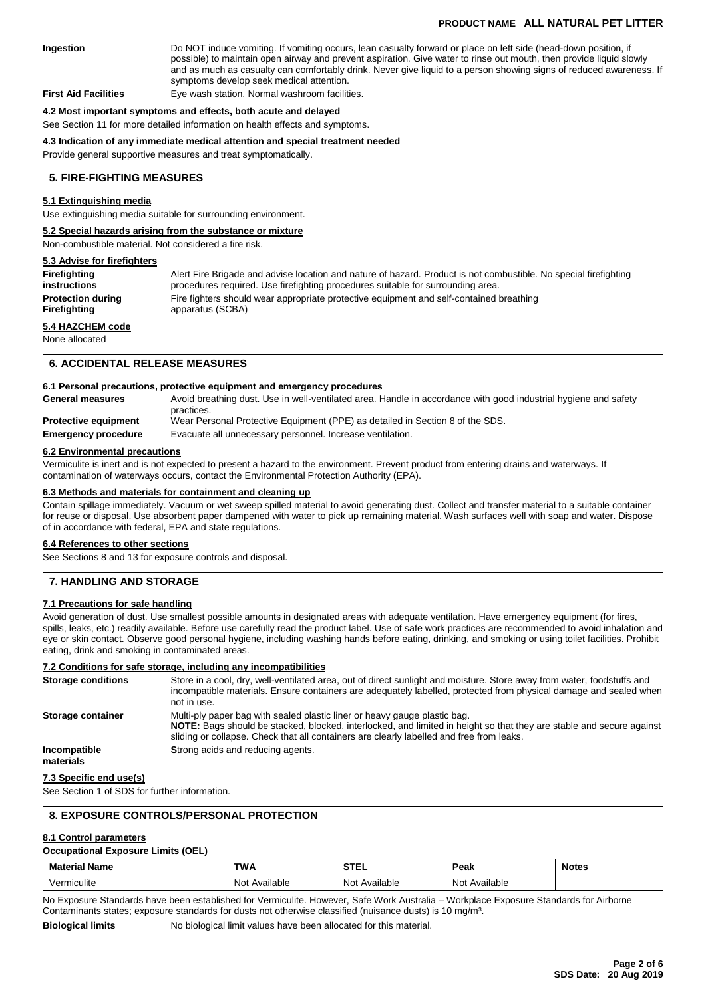# **PRODUCT NAME ALL NATURAL PET LITTER**

# **Ingestion** Do NOT induce vomiting. If vomiting occurs, lean casualty forward or place on left side (head-down position, if possible) to maintain open airway and prevent aspiration. Give water to rinse out mouth, then provide liquid slowly and as much as casualty can comfortably drink. Never give liquid to a person showing signs of reduced awareness. If symptoms develop seek medical attention.

**First Aid Facilities** Eye wash station. Normal washroom facilities.

#### **4.2 Most important symptoms and effects, both acute and delayed**

See Section 11 for more detailed information on health effects and symptoms.

#### **4.3 Indication of any immediate medical attention and special treatment needed**

Provide general supportive measures and treat symptomatically.

#### **5. FIRE-FIGHTING MEASURES**

#### **5.1 Extinguishing media**

Use extinguishing media suitable for surrounding environment.

#### **5.2 Special hazards arising from the substance or mixture**

Non-combustible material. Not considered a fire risk.

#### **5.3 Advise for firefighters**

| Firefighting             | Alert Fire Brigade and advise location and nature of hazard. Product is not combustible. No special firefighting |
|--------------------------|------------------------------------------------------------------------------------------------------------------|
| instructions             | procedures required. Use firefighting procedures suitable for surrounding area.                                  |
| <b>Protection during</b> | Fire fighters should wear appropriate protective equipment and self-contained breathing                          |
| Firefighting             | apparatus (SCBA)                                                                                                 |
| 5.4 HAZCHEM code         |                                                                                                                  |

None allocated

#### **6. ACCIDENTAL RELEASE MEASURES**

#### **6.1 Personal precautions, protective equipment and emergency procedures**

| <b>General measures</b>     | Avoid breathing dust. Use in well-ventilated area. Handle in accordance with good industrial hygiene and safety |
|-----------------------------|-----------------------------------------------------------------------------------------------------------------|
|                             | practices.                                                                                                      |
| <b>Protective equipment</b> | Wear Personal Protective Equipment (PPE) as detailed in Section 8 of the SDS.                                   |
| <b>Emergency procedure</b>  | Evacuate all unnecessary personnel. Increase ventilation.                                                       |
|                             |                                                                                                                 |

#### **6.2 Environmental precautions**

Vermiculite is inert and is not expected to present a hazard to the environment. Prevent product from entering drains and waterways. If contamination of waterways occurs, contact the Environmental Protection Authority (EPA).

# **6.3 Methods and materials for containment and cleaning up**

Contain spillage immediately. Vacuum or wet sweep spilled material to avoid generating dust. Collect and transfer material to a suitable container for reuse or disposal. Use absorbent paper dampened with water to pick up remaining material. Wash surfaces well with soap and water. Dispose of in accordance with federal, EPA and state regulations.

#### **6.4 References to other sections**

See Sections 8 and 13 for exposure controls and disposal.

# **7. HANDLING AND STORAGE**

## **7.1 Precautions for safe handling**

Avoid generation of dust. Use smallest possible amounts in designated areas with adequate ventilation. Have emergency equipment (for fires, spills, leaks, etc.) readily available. Before use carefully read the product label. Use of safe work practices are recommended to avoid inhalation and eye or skin contact. Observe good personal hygiene, including washing hands before eating, drinking, and smoking or using toilet facilities. Prohibit eating, drink and smoking in contaminated areas.

#### **7.2 Conditions for safe storage, including any incompatibilities**

| <b>Storage conditions</b> | Store in a cool, dry, well-ventilated area, out of direct sunlight and moisture. Store away from water, foodstuffs and<br>incompatible materials. Ensure containers are adequately labelled, protected from physical damage and sealed when<br>not in use.                                    |
|---------------------------|-----------------------------------------------------------------------------------------------------------------------------------------------------------------------------------------------------------------------------------------------------------------------------------------------|
| Storage container         | Multi-ply paper bag with sealed plastic liner or heavy gauge plastic bag.<br>NOTE: Bags should be stacked, blocked, interlocked, and limited in height so that they are stable and secure against<br>sliding or collapse. Check that all containers are clearly labelled and free from leaks. |
| Incompatible<br>materials | Strong acids and reducing agents.                                                                                                                                                                                                                                                             |

# **7.3 Specific end use(s)**

See Section 1 of SDS for further information.

# **8. EXPOSURE CONTROLS/PERSONAL PROTECTION**

## **8.1 Control parameters**

# **Occupational Exposure Limits (OEL)**

| м.                                  | TWA             |                            | ישפט<br>-can                | <b>Notes</b><br>. |
|-------------------------------------|-----------------|----------------------------|-----------------------------|-------------------|
| $\cdots$<br>nıculıte<br>11 L<br>. . | Not.<br>ailable | - Nic<br>$\sim$<br>ailable | <b>Not</b><br>wailable<br>. |                   |

No Exposure Standards have been established for Vermiculite. However, Safe Work Australia – Workplace Exposure Standards for Airborne Contaminants states; exposure standards for dusts not otherwise classified (nuisance dusts) is 10 mg/m³.

**Biological limits** No biological limit values have been allocated for this material.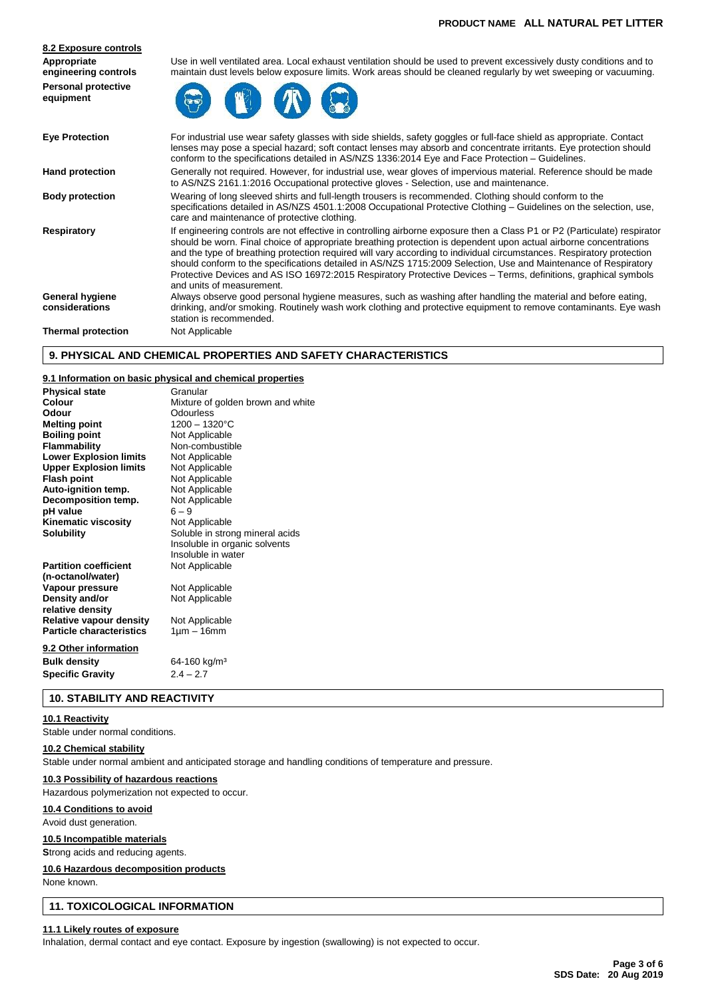| Appropriate<br>engineering controls     | Use in well ventilated area. Local exhaust ventilation should be used to prevent excessively dusty conditions and to<br>maintain dust levels below exposure limits. Work areas should be cleaned regularly by wet sweeping or vacuuming.                                                                                                                                                                                                                                                                                                                                                                                                   |  |  |
|-----------------------------------------|--------------------------------------------------------------------------------------------------------------------------------------------------------------------------------------------------------------------------------------------------------------------------------------------------------------------------------------------------------------------------------------------------------------------------------------------------------------------------------------------------------------------------------------------------------------------------------------------------------------------------------------------|--|--|
| <b>Personal protective</b><br>equipment |                                                                                                                                                                                                                                                                                                                                                                                                                                                                                                                                                                                                                                            |  |  |
| <b>Eye Protection</b>                   | For industrial use wear safety glasses with side shields, safety goggles or full-face shield as appropriate. Contact<br>lenses may pose a special hazard; soft contact lenses may absorb and concentrate irritants. Eye protection should<br>conform to the specifications detailed in AS/NZS 1336:2014 Eye and Face Protection – Guidelines.                                                                                                                                                                                                                                                                                              |  |  |
| <b>Hand protection</b>                  | Generally not required. However, for industrial use, wear gloves of impervious material. Reference should be made<br>to AS/NZS 2161.1:2016 Occupational protective gloves - Selection, use and maintenance.                                                                                                                                                                                                                                                                                                                                                                                                                                |  |  |
| <b>Body protection</b>                  | Wearing of long sleeved shirts and full-length trousers is recommended. Clothing should conform to the<br>specifications detailed in AS/NZS 4501.1:2008 Occupational Protective Clothing – Guidelines on the selection, use,<br>care and maintenance of protective clothing.                                                                                                                                                                                                                                                                                                                                                               |  |  |
| <b>Respiratory</b>                      | If engineering controls are not effective in controlling airborne exposure then a Class P1 or P2 (Particulate) respirator<br>should be worn. Final choice of appropriate breathing protection is dependent upon actual airborne concentrations<br>and the type of breathing protection required will vary according to individual circumstances. Respiratory protection<br>should conform to the specifications detailed in AS/NZS 1715:2009 Selection, Use and Maintenance of Respiratory<br>Protective Devices and AS ISO 16972:2015 Respiratory Protective Devices - Terms, definitions, graphical symbols<br>and units of measurement. |  |  |
| General hygiene<br>considerations       | Always observe good personal hygiene measures, such as washing after handling the material and before eating,<br>drinking, and/or smoking. Routinely wash work clothing and protective equipment to remove contaminants. Eye wash<br>station is recommended.                                                                                                                                                                                                                                                                                                                                                                               |  |  |
| <b>Thermal protection</b>               | Not Applicable                                                                                                                                                                                                                                                                                                                                                                                                                                                                                                                                                                                                                             |  |  |

# **9. PHYSICAL AND CHEMICAL PROPERTIES AND SAFETY CHARACTERISTICS**

## **9.1 Information on basic physical and chemical properties**

| <b>Physical state</b>           | Granular                          |
|---------------------------------|-----------------------------------|
| Colour                          | Mixture of golden brown and white |
| Odour                           | Odourless                         |
| <b>Melting point</b>            | 1200 - 1320°C                     |
| <b>Boiling point</b>            | Not Applicable                    |
| Flammability                    | Non-combustible                   |
| <b>Lower Explosion limits</b>   | Not Applicable                    |
| <b>Upper Explosion limits</b>   | Not Applicable                    |
| <b>Flash point</b>              | Not Applicable                    |
| Auto-ignition temp.             | Not Applicable                    |
| Decomposition temp.             | Not Applicable                    |
| pH value                        | $6 - 9$                           |
| <b>Kinematic viscosity</b>      | Not Applicable                    |
| <b>Solubility</b>               | Soluble in strong mineral acids   |
|                                 | Insoluble in organic solvents     |
|                                 | Insoluble in water                |
| <b>Partition coefficient</b>    | Not Applicable                    |
| (n-octanol/water)               |                                   |
| Vapour pressure                 | Not Applicable                    |
| Density and/or                  | Not Applicable                    |
| relative density                |                                   |
| Relative vapour density         | Not Applicable                    |
| <b>Particle characteristics</b> | $1 \mu m - 16 \text{mm}$          |
| 9.2 Other information           |                                   |
| <b>Bulk density</b>             | 64-160 kg/m <sup>3</sup>          |
| <b>Specific Gravity</b>         | $2.4 - 2.7$                       |
|                                 |                                   |

# **10. STABILITY AND REACTIVITY**

# **10.1 Reactivity**

Stable under normal conditions.

# **10.2 Chemical stability**

**8.2 Exposure controls**

Stable under normal ambient and anticipated storage and handling conditions of temperature and pressure.

# **10.3 Possibility of hazardous reactions**

Hazardous polymerization not expected to occur.

# **10.4 Conditions to avoid**

Avoid dust generation.

# **10.5 Incompatible materials**

**S**trong acids and reducing agents.

# **10.6 Hazardous decomposition products**

None known.

# **11. TOXICOLOGICAL INFORMATION**

#### **11.1 Likely routes of exposure**

Inhalation, dermal contact and eye contact. Exposure by ingestion (swallowing) is not expected to occur.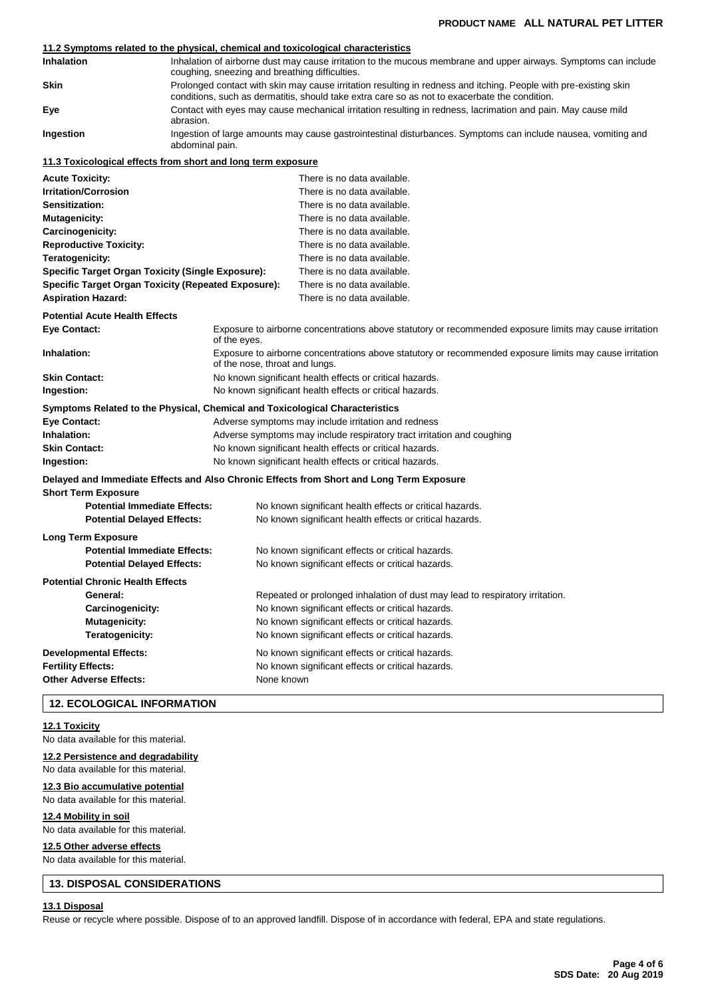# **11.2 Symptoms related to the physical, chemical and toxicological characteristics**

| <b>Inhalation</b> | Inhalation of airborne dust may cause irritation to the mucous membrane and upper airways. Symptoms can include<br>coughing, sneezing and breathing difficulties.                                                 |
|-------------------|-------------------------------------------------------------------------------------------------------------------------------------------------------------------------------------------------------------------|
| Skin              | Prolonged contact with skin may cause irritation resulting in redness and itching. People with pre-existing skin<br>conditions, such as dermatitis, should take extra care so as not to exacerbate the condition. |
| Eye               | Contact with eyes may cause mechanical irritation resulting in redness, lacrimation and pain. May cause mild<br>abrasion.                                                                                         |
| Ingestion         | Ingestion of large amounts may cause gastrointestinal disturbances. Symptoms can include nausea, vomiting and<br>abdominal pain.                                                                                  |
|                   | 11.3 Toxicological offects from short and long term expesure                                                                                                                                                      |

# **11.3 Toxicological effects from short and long term exposure**

| <b>Acute Toxicity:</b>                                                                                |                                                                                                                                           | There is no data available.                                                                             |  |
|-------------------------------------------------------------------------------------------------------|-------------------------------------------------------------------------------------------------------------------------------------------|---------------------------------------------------------------------------------------------------------|--|
| <b>Irritation/Corrosion</b>                                                                           |                                                                                                                                           | There is no data available.                                                                             |  |
| <b>Sensitization:</b>                                                                                 |                                                                                                                                           | There is no data available.                                                                             |  |
| Mutagenicity:                                                                                         |                                                                                                                                           | There is no data available.                                                                             |  |
| Carcinogenicity:                                                                                      |                                                                                                                                           | There is no data available.                                                                             |  |
| <b>Reproductive Toxicity:</b><br>Teratogenicity:<br>Specific Target Organ Toxicity (Single Exposure): |                                                                                                                                           | There is no data available.                                                                             |  |
|                                                                                                       |                                                                                                                                           | There is no data available.                                                                             |  |
|                                                                                                       |                                                                                                                                           | There is no data available.                                                                             |  |
| <b>Specific Target Organ Toxicity (Repeated Exposure):</b>                                            |                                                                                                                                           | There is no data available.                                                                             |  |
| <b>Aspiration Hazard:</b>                                                                             |                                                                                                                                           | There is no data available.                                                                             |  |
| <b>Potential Acute Health Effects</b>                                                                 |                                                                                                                                           |                                                                                                         |  |
| Eye Contact:<br>of the eyes.                                                                          |                                                                                                                                           | Exposure to airborne concentrations above statutory or recommended exposure limits may cause irritation |  |
| Inhalation:                                                                                           | Exposure to airborne concentrations above statutory or recommended exposure limits may cause irritation<br>of the nose, throat and lungs. |                                                                                                         |  |
| <b>Skin Contact:</b>                                                                                  |                                                                                                                                           | No known significant health effects or critical hazards.                                                |  |
| Ingestion:                                                                                            |                                                                                                                                           | No known significant health effects or critical hazards.                                                |  |
| Symptoms Related to the Physical, Chemical and Toxicological Characteristics                          |                                                                                                                                           |                                                                                                         |  |
| Eye Contact:                                                                                          |                                                                                                                                           | Adverse symptoms may include irritation and redness                                                     |  |
| Inhalation:                                                                                           | Adverse symptoms may include respiratory tract irritation and coughing                                                                    |                                                                                                         |  |
| <b>Skin Contact:</b>                                                                                  | No known significant health effects or critical hazards.                                                                                  |                                                                                                         |  |
| Ingestion:                                                                                            | No known significant health effects or critical hazards.                                                                                  |                                                                                                         |  |
|                                                                                                       |                                                                                                                                           | Delayed and Immediate Effects and Also Chronic Effects from Short and Long Term Exposure                |  |
| <b>Short Term Exposure</b>                                                                            |                                                                                                                                           |                                                                                                         |  |
| <b>Potential Immediate Effects:</b>                                                                   |                                                                                                                                           | No known significant health effects or critical hazards.                                                |  |
| <b>Potential Delayed Effects:</b>                                                                     |                                                                                                                                           | No known significant health effects or critical hazards.                                                |  |
| Long Term Exposure                                                                                    |                                                                                                                                           |                                                                                                         |  |
| <b>Potential Immediate Effects:</b>                                                                   |                                                                                                                                           | No known significant effects or critical hazards.                                                       |  |
| <b>Potential Delayed Effects:</b>                                                                     |                                                                                                                                           | No known significant effects or critical hazards.                                                       |  |
| <b>Potential Chronic Health Effects</b>                                                               |                                                                                                                                           |                                                                                                         |  |
| General:                                                                                              |                                                                                                                                           | Repeated or prolonged inhalation of dust may lead to respiratory irritation.                            |  |
| Carcinogenicity:                                                                                      |                                                                                                                                           | No known significant effects or critical hazards.                                                       |  |
| <b>Mutagenicity:</b>                                                                                  |                                                                                                                                           | No known significant effects or critical hazards.                                                       |  |
| Teratogenicity:                                                                                       |                                                                                                                                           | No known significant effects or critical hazards.                                                       |  |
|                                                                                                       |                                                                                                                                           |                                                                                                         |  |
| <b>Developmental Effects:</b>                                                                         |                                                                                                                                           | No known significant effects or critical hazards.                                                       |  |
| <b>Fertility Effects:</b>                                                                             |                                                                                                                                           | No known significant effects or critical hazards.                                                       |  |
| <b>Other Adverse Effects:</b>                                                                         | None known                                                                                                                                |                                                                                                         |  |
|                                                                                                       |                                                                                                                                           |                                                                                                         |  |

# **12. ECOLOGICAL INFORMATION**

# **12.1 Toxicity**

No data available for this material.

# **12.2 Persistence and degradability**

No data available for this material.

# **12.3 Bio accumulative potential** No data available for this material.

**12.4 Mobility in soil**

# No data available for this material.

**12.5 Other adverse effects**

No data available for this material.

# **13. DISPOSAL CONSIDERATIONS**

# **13.1 Disposal**

Reuse or recycle where possible. Dispose of to an approved landfill. Dispose of in accordance with federal, EPA and state regulations.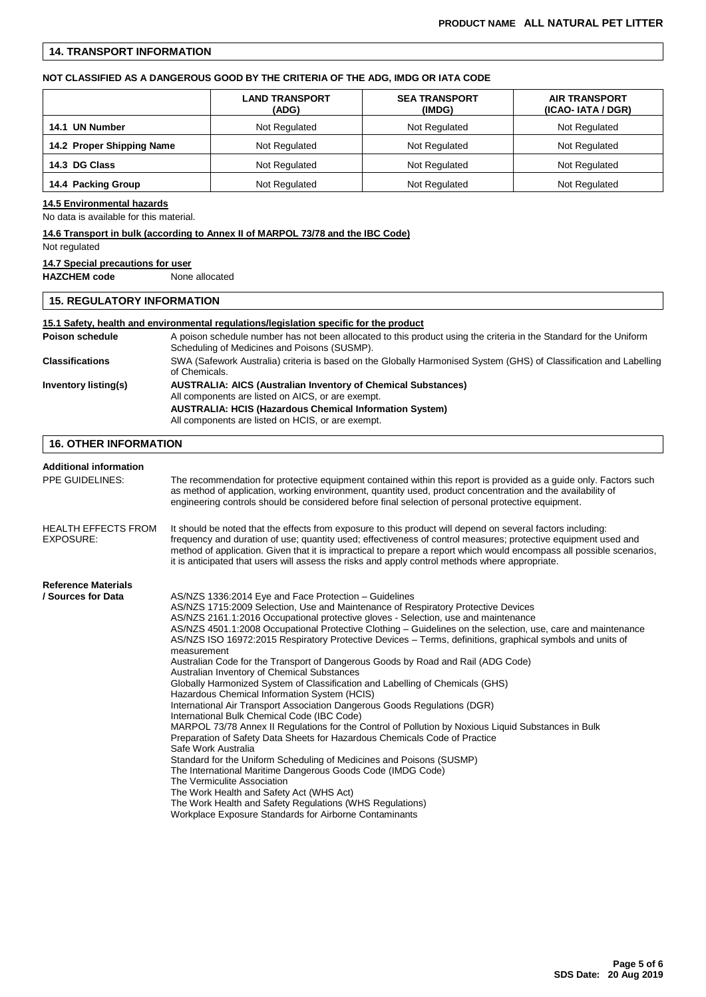# **14. TRANSPORT INFORMATION**

## **NOT CLASSIFIED AS A DANGEROUS GOOD BY THE CRITERIA OF THE ADG, IMDG OR IATA CODE**

|                           | <b>LAND TRANSPORT</b><br>(ADG) | <b>SEA TRANSPORT</b><br>(IMDG) | <b>AIR TRANSPORT</b><br>(ICAO-IATA / DGR)<br>Not Regulated |  |
|---------------------------|--------------------------------|--------------------------------|------------------------------------------------------------|--|
| 14.1 UN Number            | Not Regulated                  | Not Regulated                  |                                                            |  |
| 14.2 Proper Shipping Name | Not Regulated                  | Not Regulated                  | Not Regulated                                              |  |
| 14.3 DG Class             | Not Regulated                  | Not Regulated                  | Not Regulated                                              |  |
| 14.4 Packing Group        | Not Regulated                  | Not Regulated                  | Not Regulated                                              |  |

# **14.5 Environmental hazards**

No data is available for this material.

# **14.6 Transport in bulk (according to Annex II of MARPOL 73/78 and the IBC Code)**

### Not regulated

**14.7 Special precautions for user**

**HAZCHEM code** None allocated

# **15. REGULATORY INFORMATION**

# **15.1 Safety, health and environmental regulations/legislation specific for the product** Poison schedule **A** poison schedule number has not been allocated to this product using the criteria in the Standard for the Uniform Scheduling of Medicines and Poisons (SUSMP). **Classifications** SWA (Safework Australia) criteria is based on the Globally Harmonised System (GHS) of Classification and Labelling of Chemicals. **Inventory listing(s) AUSTRALIA: AICS (Australian Inventory of Chemical Substances)** All components are listed on AICS, or are exempt. **AUSTRALIA: HCIS (Hazardous Chemical Information System)** All components are listed on HCIS, or are exempt. **16. OTHER INFORMATION**

| <b>Additional information</b><br><b>PPE GUIDELINES:</b> | The recommendation for protective equipment contained within this report is provided as a guide only. Factors such<br>as method of application, working environment, quantity used, product concentration and the availability of<br>engineering controls should be considered before final selection of personal protective equipment.                                                                                                                                                                                                                                                                                                                                                                                                                                                                                                                                                                                                                                                                                                                                                                                                                                                                                                                                                                                                                                                                                          |
|---------------------------------------------------------|----------------------------------------------------------------------------------------------------------------------------------------------------------------------------------------------------------------------------------------------------------------------------------------------------------------------------------------------------------------------------------------------------------------------------------------------------------------------------------------------------------------------------------------------------------------------------------------------------------------------------------------------------------------------------------------------------------------------------------------------------------------------------------------------------------------------------------------------------------------------------------------------------------------------------------------------------------------------------------------------------------------------------------------------------------------------------------------------------------------------------------------------------------------------------------------------------------------------------------------------------------------------------------------------------------------------------------------------------------------------------------------------------------------------------------|
| <b>HEALTH EFFECTS FROM</b><br>EXPOSURE:                 | It should be noted that the effects from exposure to this product will depend on several factors including:<br>frequency and duration of use; quantity used; effectiveness of control measures; protective equipment used and<br>method of application. Given that it is impractical to prepare a report which would encompass all possible scenarios,<br>it is anticipated that users will assess the risks and apply control methods where appropriate.                                                                                                                                                                                                                                                                                                                                                                                                                                                                                                                                                                                                                                                                                                                                                                                                                                                                                                                                                                        |
| <b>Reference Materials</b>                              |                                                                                                                                                                                                                                                                                                                                                                                                                                                                                                                                                                                                                                                                                                                                                                                                                                                                                                                                                                                                                                                                                                                                                                                                                                                                                                                                                                                                                                  |
| / Sources for Data                                      | AS/NZS 1336:2014 Eye and Face Protection - Guidelines<br>AS/NZS 1715:2009 Selection, Use and Maintenance of Respiratory Protective Devices<br>AS/NZS 2161.1:2016 Occupational protective gloves - Selection, use and maintenance<br>AS/NZS 4501.1:2008 Occupational Protective Clothing – Guidelines on the selection, use, care and maintenance<br>AS/NZS ISO 16972:2015 Respiratory Protective Devices – Terms, definitions, graphical symbols and units of<br>measurement<br>Australian Code for the Transport of Dangerous Goods by Road and Rail (ADG Code)<br>Australian Inventory of Chemical Substances<br>Globally Harmonized System of Classification and Labelling of Chemicals (GHS)<br>Hazardous Chemical Information System (HCIS)<br>International Air Transport Association Dangerous Goods Regulations (DGR)<br>International Bulk Chemical Code (IBC Code)<br>MARPOL 73/78 Annex II Regulations for the Control of Pollution by Noxious Liquid Substances in Bulk<br>Preparation of Safety Data Sheets for Hazardous Chemicals Code of Practice<br>Safe Work Australia<br>Standard for the Uniform Scheduling of Medicines and Poisons (SUSMP)<br>The International Maritime Dangerous Goods Code (IMDG Code)<br>The Vermiculite Association<br>The Work Health and Safety Act (WHS Act)<br>The Work Health and Safety Regulations (WHS Regulations)<br>Workplace Exposure Standards for Airborne Contaminants |